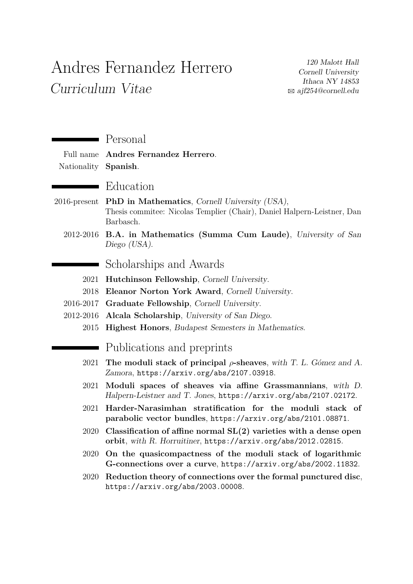## Andres Fernandez Herrero Curriculum Vitae

120 Malott Hall Cornell University Ithaca NY 14853 B [ajf254@cornell.edu](mailto:ajf254@cornell.edu)

|                 | Personal                                                                                                                                     |
|-----------------|----------------------------------------------------------------------------------------------------------------------------------------------|
| Full name       | Andres Fernandez Herrero.                                                                                                                    |
| Nationality     | Spanish.                                                                                                                                     |
|                 | Education                                                                                                                                    |
| $2016$ -present | <b>PhD</b> in Mathematics, Cornell University (USA),<br>Thesis commitee: Nicolas Templier (Chair), Daniel Halpern-Leistner, Dan<br>Barbasch. |
|                 | 2012-2016 B.A. in Mathematics (Summa Cum Laude), University of San<br>Diego (USA).                                                           |
|                 | Scholarships and Awards                                                                                                                      |
| 2021            | Hutchinson Fellowship, Cornell University.                                                                                                   |
| 2018            | Eleanor Norton York Award, Cornell University.                                                                                               |
| 2016-2017       | Graduate Fellowship, Cornell University.                                                                                                     |
| 2012-2016       | Alcala Scholarship, University of San Diego.                                                                                                 |
| 2015            | <b>Highest Honors</b> , Budapest Semesters in Mathematics.                                                                                   |
|                 | Publications and preprints                                                                                                                   |
| 2021            | The moduli stack of principal $\rho$ -sheaves, with T. L. Gómez and A.<br>Zamora, https://arxiv.org/abs/2107.03918.                          |
| 2021            | Moduli spaces of sheaves via affine Grassmannians, with D.<br>Halpern-Leistner and T. Jones, https://arxiv.org/abs/2107.02172.               |
| 2021            | Harder-Narasimhan stratification for the moduli stack of<br>parabolic vector bundles, https://arxiv.org/abs/2101.08871.                      |
| 2020            | Classification of affine normal $SL(2)$ varieties with a dense open<br>orbit, with R. Horruitiner, https://arxiv.org/abs/2012.02815.         |
| 2020            | On the quasicompactness of the moduli stack of logarithmic<br>G-connections over a curve, https://arxiv.org/abs/2002.11832.                  |
| 2020            | Reduction theory of connections over the formal punctured disc,<br>https://arxiv.org/abs/2003.00008.                                         |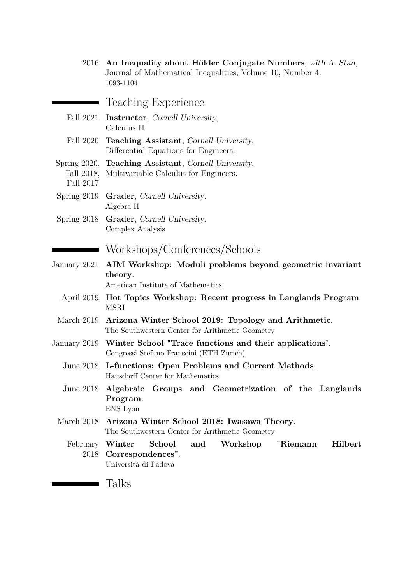|                         | 2016 An Inequality about Hölder Conjugate Numbers, with A. Stan,<br>Journal of Mathematical Inequalities, Volume 10, Number 4.<br>1093-1104 |
|-------------------------|---------------------------------------------------------------------------------------------------------------------------------------------|
|                         | Teaching Experience                                                                                                                         |
|                         | Fall 2021 <b>Instructor</b> , Cornell University,<br>Calculus II.                                                                           |
| Fall 2020               | Teaching Assistant, Cornell University,<br>Differential Equations for Engineers.                                                            |
| Fall 2018,<br>Fall 2017 | Spring 2020, Teaching Assistant, Cornell University,<br>Multivariable Calculus for Engineers.                                               |
| Spring $2019$           | Grader, Cornell University.<br>Algebra II                                                                                                   |
| Spring 2018             | Grader, Cornell University.<br>Complex Analysis                                                                                             |
|                         | Workshops/Conferences/Schools                                                                                                               |
| January 2021            | AIM Workshop: Moduli problems beyond geometric invariant<br>theory.<br>American Institute of Mathematics                                    |
|                         | April 2019 Hot Topics Workshop: Recent progress in Langlands Program.<br><b>MSRI</b>                                                        |
| March 2019              | Arizona Winter School 2019: Topology and Arithmetic.<br>The Southwestern Center for Arithmetic Geometry                                     |
| January 2019            | Winter School "Trace functions and their applications'.<br>Congressi Stefano Franscini (ETH Zurich)                                         |
|                         | June 2018 L-functions: Open Problems and Current Methods.<br>Hausdorff Center for Mathematics                                               |
| June 2018               | Algebraic Groups and Geometrization of the Langlands<br>Program.<br>${\rm ENS}$ Lyon                                                        |
| March 2018              | Arizona Winter School 2018: Iwasawa Theory.<br>The Southwestern Center for Arithmetic Geometry                                              |
| February<br>2018        | Hilbert<br>Winter<br>School<br>and<br>Workshop<br>"Riemann<br>Correspondences".<br>Università di Padova                                     |
|                         | Talks                                                                                                                                       |